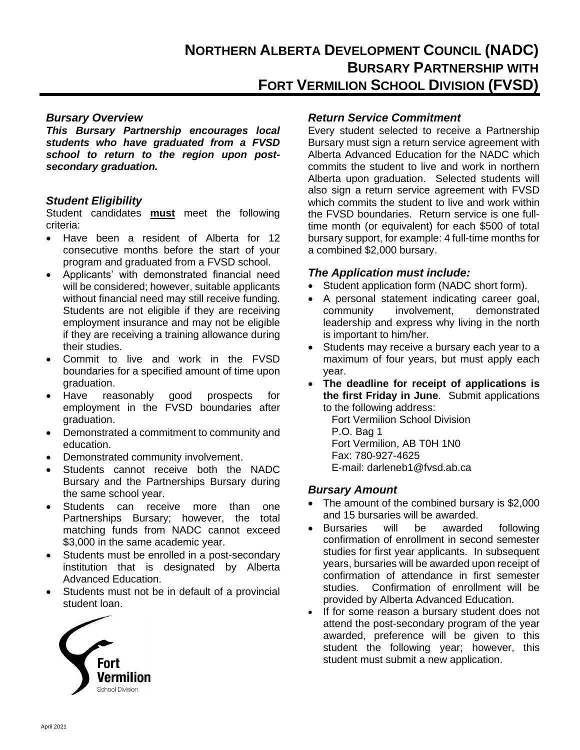*This Bursary Partnership encourages local students who have graduated from a FVSD school to return to the region upon postsecondary graduation.*

## *Student Eligibility*

Student candidates **must** meet the following criteria:

- Have been a resident of Alberta for 12 consecutive months before the start of your program and graduated from a FVSD school.
- Applicants' with demonstrated financial need will be considered; however, suitable applicants without financial need may still receive funding. Students are not eligible if they are receiving employment insurance and may not be eligible if they are receiving a training allowance during their studies.
- Commit to live and work in the FVSD boundaries for a specified amount of time upon graduation.
- Have reasonably good prospects for employment in the FVSD boundaries after graduation.
- Demonstrated a commitment to community and education.
- Demonstrated community involvement.
- Students cannot receive both the NADC Bursary and the Partnerships Bursary during the same school year.
- Students can receive more than one Partnerships Bursary; however, the total matching funds from NADC cannot exceed \$3,000 in the same academic year.
- Students must be enrolled in a post-secondary institution that is designated by Alberta Advanced Education.
- Students must not be in default of a provincial student loan.



# *Bursary Overview Return Service Commitment*

Every student selected to receive a Partnership Bursary must sign a return service agreement with Alberta Advanced Education for the NADC which commits the student to live and work in northern Alberta upon graduation. Selected students will also sign a return service agreement with FVSD which commits the student to live and work within the FVSD boundaries. Return service is one fulltime month (or equivalent) for each \$500 of total bursary support, for example: 4 full-time months for a combined \$2,000 bursary.

## *The Application must include:*

- Student application form (NADC short form).
- A personal statement indicating career goal, community involvement, demonstrated leadership and express why living in the north is important to him/her.
- Students may receive a bursary each year to a maximum of four years, but must apply each year.
- **The deadline for receipt of applications is the first Friday in June**. Submit applications to the following address:

Fort Vermilion School Division P.O. Bag 1 Fort Vermilion, AB T0H 1N0 Fax: 780-927-4625 E-mail: darleneb1@fvsd.ab.ca

## *Bursary Amount*

- The amount of the combined bursary is \$2,000 and 15 bursaries will be awarded.
- Bursaries will be awarded following confirmation of enrollment in second semester studies for first year applicants. In subsequent years, bursaries will be awarded upon receipt of confirmation of attendance in first semester studies. Confirmation of enrollment will be provided by Alberta Advanced Education.
- If for some reason a bursary student does not attend the post-secondary program of the year awarded, preference will be given to this student the following year; however, this student must submit a new application.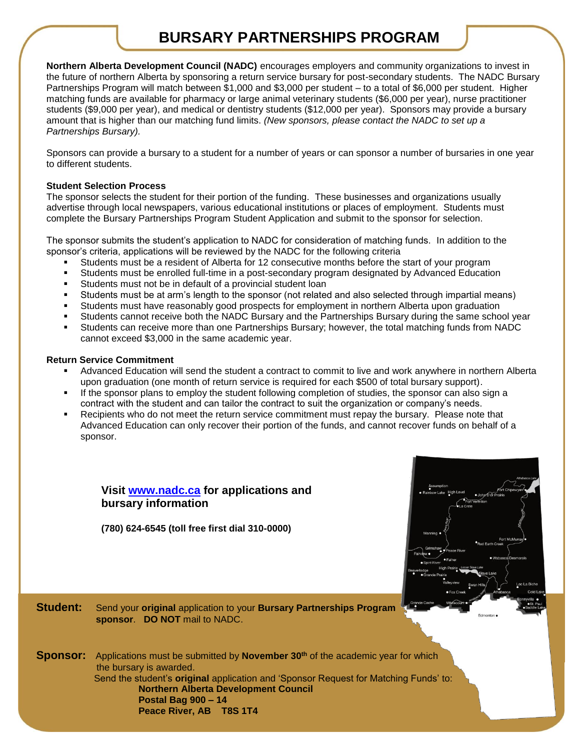# **BURSARY PARTNERSHIPS PROGRAM**

**Northern Alberta Development Council (NADC)** encourages employers and community organizations to invest in the future of northern Alberta by sponsoring a return service bursary for post-secondary students. The NADC Bursary Partnerships Program will match between \$1,000 and \$3,000 per student – to a total of \$6,000 per student. Higher matching funds are available for pharmacy or large animal veterinary students (\$6,000 per year), nurse practitioner students (\$9,000 per year), and medical or dentistry students (\$12,000 per year). Sponsors may provide a bursary amount that is higher than our matching fund limits. *(New sponsors, please contact the NADC to set up a Partnerships Bursary).*

Sponsors can provide a bursary to a student for a number of years or can sponsor a number of bursaries in one year to different students.

#### **Student Selection Process**

The sponsor selects the student for their portion of the funding. These businesses and organizations usually advertise through local newspapers, various educational institutions or places of employment. Students must complete the Bursary Partnerships Program Student Application and submit to the sponsor for selection.

The sponsor submits the student's application to NADC for consideration of matching funds. In addition to the sponsor's criteria, applications will be reviewed by the NADC for the following criteria

- Students must be a resident of Alberta for 12 consecutive months before the start of your program
- Students must be enrolled full-time in a post-secondary program designated by Advanced Education
- Students must not be in default of a provincial student loan
- Students must be at arm's length to the sponsor (not related and also selected through impartial means)
- Students must have reasonably good prospects for employment in northern Alberta upon graduation
- Students cannot receive both the NADC Bursary and the Partnerships Bursary during the same school year
- Students can receive more than one Partnerships Bursary; however, the total matching funds from NADC cannot exceed \$3,000 in the same academic year.

#### **Return Service Commitment**

- Advanced Education will send the student a contract to commit to live and work anywhere in northern Alberta upon graduation (one month of return service is required for each \$500 of total bursary support).
- If the sponsor plans to employ the student following completion of studies, the sponsor can also sign a contract with the student and can tailor the contract to suit the organization or company's needs.
- Recipients who do not meet the return service commitment must repay the bursary. Please note that Advanced Education can only recover their portion of the funds, and cannot recover funds on behalf of a sponsor.

# **Visit [www.nadc.ca](http://www.nadc.ca/) for applications and bursary information**

**(780) 624-6545 (toll free first dial 310-0000)**



**Student:** Send your **original** application to your **Bursary Partnerships Program sponsor**. **DO NOT** mail to NADC.

**Sponsor:** Applications must be submitted by **November 30<sup>th</sup>** of the academic year for which the bursary is awarded. Send the student's **original** application and 'Sponsor Request for Matching Funds' to:  **Northern Alberta Development Council Postal Bag 900 – 14 Peace River, AB T8S 1T4**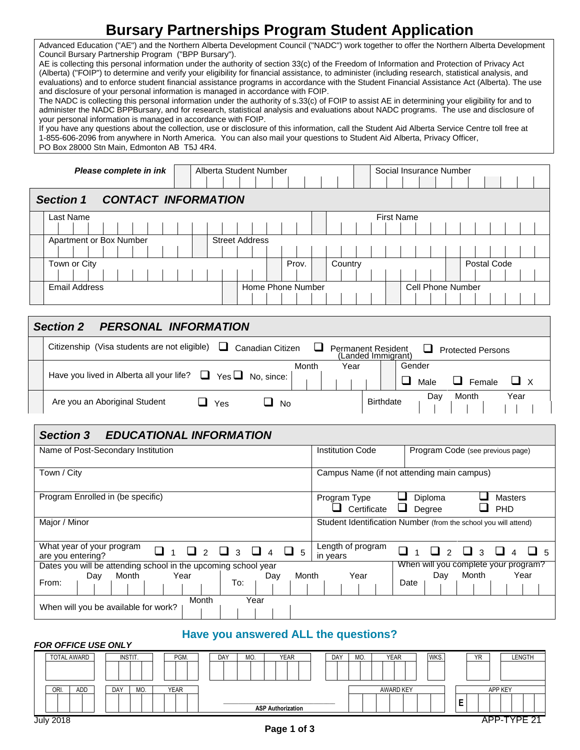# **Bursary Partnerships Program Student Application**

Advanced Education ("AE") and the Northern Alberta Development Council ("NADC") work together to offer the Northern Alberta Development Council Bursary Partnership Program ("BPP Bursary").

AE is collecting this personal information under the authority of section 33(c) of the Freedom of Information and Protection of Privacy Act (Alberta) ("FOIP") to determine and verify your eligibility for financial assistance, to administer (including research, statistical analysis, and evaluations) and to enforce student financial assistance programs in accordance with the Student Financial Assistance Act (Alberta). The use and disclosure of your personal information is managed in accordance with FOIP.

The NADC is collecting this personal information under the authority of s.33(c) of FOIP to assist AE in determining your eligibility for and to administer the NADC BPPBursary, and for research, statistical analysis and evaluations about NADC programs. The use and disclosure of your personal information is managed in accordance with FOIP.

If you have any questions about the collection, use or disclosure of this information, call the Student Aid Alberta Service Centre toll free at 1-855-606-2096 from anywhere in North America. You can also mail your questions to Student Aid Alberta, Privacy Officer, PO Box 28000 Stn Main, Edmonton AB T5J 4R4.

| Please complete in ink                         | Alberta Student Number |         | Social Insurance Number  |  |  |  |
|------------------------------------------------|------------------------|---------|--------------------------|--|--|--|
| <b>CONTACT INFORMATION</b><br><b>Section 1</b> |                        |         |                          |  |  |  |
| Last Name                                      |                        |         | <b>First Name</b>        |  |  |  |
|                                                |                        |         |                          |  |  |  |
| Apartment or Box Number                        | <b>Street Address</b>  |         |                          |  |  |  |
|                                                |                        |         |                          |  |  |  |
| Town or City                                   | Prov.                  | Country | Postal Code              |  |  |  |
|                                                |                        |         |                          |  |  |  |
| <b>Email Address</b>                           | Home Phone Number      |         | <b>Cell Phone Number</b> |  |  |  |
|                                                |                        |         |                          |  |  |  |

| <b>PERSONAL INFORMATION</b><br><b>Section 2</b>                                           |                                                                                  |  |  |  |  |  |  |
|-------------------------------------------------------------------------------------------|----------------------------------------------------------------------------------|--|--|--|--|--|--|
| Citizenship (Visa students are not eligible)<br>ப<br>Canadian Citizen                     | <b>Permanent Resident</b><br>ப<br><b>Protected Persons</b><br>(Landed Immigrant) |  |  |  |  |  |  |
| Month<br>Year<br>Have you lived in Alberta all your life? $\Box$<br>Yes $\Box$ No, since: | Gender<br>ப<br>ப<br>Female<br>Male                                               |  |  |  |  |  |  |
| Are you an Aboriginal Student<br>$\Box$ Yes<br>- No                                       | Year<br>Month<br>Day<br><b>Birthdate</b>                                         |  |  |  |  |  |  |
| EDUCATIONAL INEOPMATION<br>$\sum_{n=1}^{\infty}$                                          |                                                                                  |  |  |  |  |  |  |

# *Section 3 EDUCATIONAL INFORMATION*

*FOR OFFICE USE ONLY* 

| Name of Post-Secondary Institution                                                     | <b>Institution Code</b><br>Program Code (see previous page)                                     |
|----------------------------------------------------------------------------------------|-------------------------------------------------------------------------------------------------|
| Town / City                                                                            | Campus Name (if not attending main campus)                                                      |
| Program Enrolled in (be specific)                                                      | Diploma<br><b>Masters</b><br>Program Type<br>Certificate<br>PHD<br>Degree                       |
| Major / Minor                                                                          | Student Identification Number (from the school you will attend)                                 |
| What year of your program<br>$4\Box 5$<br>$\Box$<br>$\mathcal{R}$<br>are you entering? | Length of program<br>$\Box$<br>$\mathcal{R}$<br>$\Box$<br>$\Box$ 5<br>$\mathcal{P}$<br>in years |
| Dates you will be attending school in the upcoming school year                         | When will you complete your program?                                                            |
| Month<br>Month<br>Year<br>Day<br>Day<br>From:<br>To:                                   | Year<br>Month<br>Year<br>Day<br>Date                                                            |
| Month<br>Year<br>When will you be available for work?                                  |                                                                                                 |

# **Have you answered ALL the questions?**

| TUN UTTIVE USE UNET |            |             |                           |     |     |                  |      |            |         |
|---------------------|------------|-------------|---------------------------|-----|-----|------------------|------|------------|---------|
| TOTAL AWARD         | INSTIT.    | PGM.        | <b>YEAR</b><br>MO.<br>DAY | DAY | MO. | <b>YEAR</b>      | WKS. | <b>YR</b>  | LENGTH  |
|                     |            |             |                           |     |     |                  |      |            |         |
| ADD<br>ORI.         | DAY<br>MO. | <b>YEAR</b> |                           |     |     | <b>AWARD KEY</b> |      | APP KEY    |         |
|                     |            |             | <b>ASP Authorization</b>  |     |     |                  |      | -<br>–     |         |
| <b>July 2018</b>    |            |             |                           |     |     |                  |      | <b>APP</b> | TVDE 24 |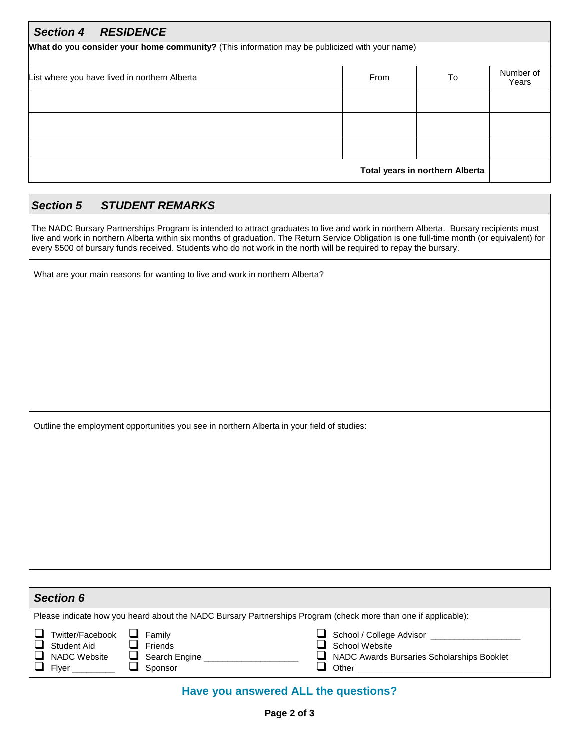| <b>Section 4</b><br><b>RESIDENCE</b>                                                          |      |                                 |                    |  |  |  |  |
|-----------------------------------------------------------------------------------------------|------|---------------------------------|--------------------|--|--|--|--|
| What do you consider your home community? (This information may be publicized with your name) |      |                                 |                    |  |  |  |  |
| List where you have lived in northern Alberta                                                 | From | To                              | Number of<br>Years |  |  |  |  |
|                                                                                               |      |                                 |                    |  |  |  |  |
|                                                                                               |      |                                 |                    |  |  |  |  |
|                                                                                               |      |                                 |                    |  |  |  |  |
|                                                                                               |      | Total years in northern Alberta |                    |  |  |  |  |

# *Section 5 STUDENT REMARKS*

The NADC Bursary Partnerships Program is intended to attract graduates to live and work in northern Alberta. Bursary recipients must live and work in northern Alberta within six months of graduation. The Return Service Obligation is one full-time month (or equivalent) for every \$500 of bursary funds received. Students who do not work in the north will be required to repay the bursary.

What are your main reasons for wanting to live and work in northern Alberta?

Outline the employment opportunities you see in northern Alberta in your field of studies:

| <b>Section 6</b>                                                                                               |                                               |                                                                                                   |  |  |  |  |  |
|----------------------------------------------------------------------------------------------------------------|-----------------------------------------------|---------------------------------------------------------------------------------------------------|--|--|--|--|--|
| Please indicate how you heard about the NADC Bursary Partnerships Program (check more than one if applicable): |                                               |                                                                                                   |  |  |  |  |  |
| Twitter/Facebook<br>Student Aid<br><b>NADC Website</b><br>Flver                                                | Familv<br>Friends<br>Search Engine<br>Sponsor | School / College Advisor<br>School Website<br>NADC Awards Bursaries Scholarships Booklet<br>Other |  |  |  |  |  |

# **Have you answered ALL the questions?**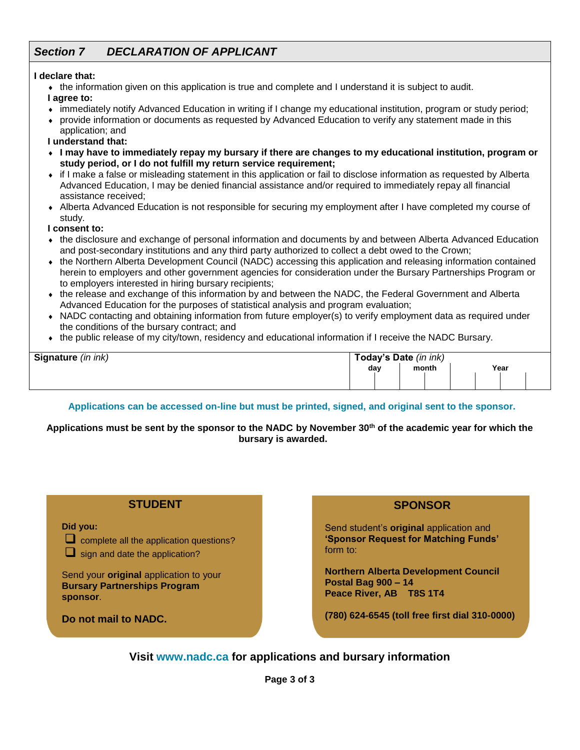# *Section 7 DECLARATION OF APPLICANT*

#### **I declare that:**

the information given on this application is true and complete and I understand it is subject to audit.

**I agree to:**

- immediately notify Advanced Education in writing if I change my educational institution, program or study period;
- provide information or documents as requested by Advanced Education to verify any statement made in this application; and

**I understand that:**

- **I may have to immediately repay my bursary if there are changes to my educational institution, program or study period, or I do not fulfill my return service requirement;**
- if I make a false or misleading statement in this application or fail to disclose information as requested by Alberta Advanced Education, I may be denied financial assistance and/or required to immediately repay all financial assistance received;
- Alberta Advanced Education is not responsible for securing my employment after I have completed my course of study.

**I consent to:**

- the disclosure and exchange of personal information and documents by and between Alberta Advanced Education and post-secondary institutions and any third party authorized to collect a debt owed to the Crown;
- the Northern Alberta Development Council (NADC) accessing this application and releasing information contained herein to employers and other government agencies for consideration under the Bursary Partnerships Program or to employers interested in hiring bursary recipients;
- the release and exchange of this information by and between the NADC, the Federal Government and Alberta Advanced Education for the purposes of statistical analysis and program evaluation;
- NADC contacting and obtaining information from future employer(s) to verify employment data as required under the conditions of the bursary contract; and
- the public release of my city/town, residency and educational information if I receive the NADC Bursary.

| Signature (in ink) | Today's Date (in ink) |  |       |  |  |      |  |  |
|--------------------|-----------------------|--|-------|--|--|------|--|--|
|                    | day                   |  | month |  |  | Year |  |  |
|                    |                       |  |       |  |  |      |  |  |

#### **Applications can be accessed on-line but must be printed, signed, and original sent to the sponsor.**

**Applications must be sent by the sponsor to the NADC by November 30th of the academic year for which the bursary is awarded.**

#### **STUDENT**

**Did you:**



 $\Box$  complete all the application questions?

 $\Box$  sign and date the application?

Send your **original** application to your **Bursary Partnerships Program sponsor**.

**Do not mail to NADC.**

## **SPONSOR**

Send student's **original** application and **'Sponsor Request for Matching Funds'** form to:

**Northern Alberta Development Council Postal Bag 900 – 14 Peace River, AB T8S 1T4** 

**(780) 624-6545 (toll free first dial 310-0000)**

**Visit www.nadc.ca for applications and bursary information**

**Page 3 of 3**